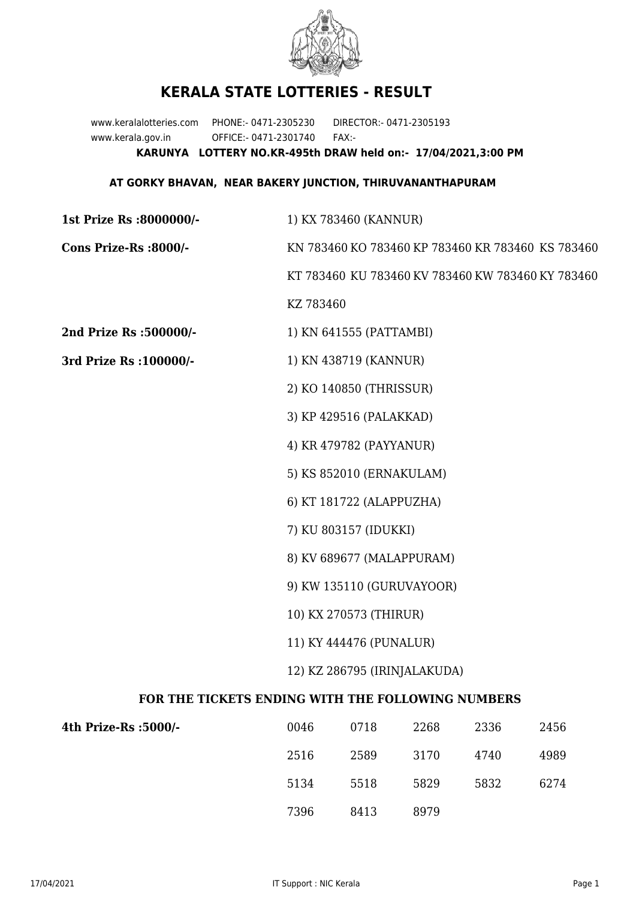

## **KERALA STATE LOTTERIES - RESULT**

www.keralalotteries.com PHONE:- 0471-2305230 DIRECTOR:- 0471-2305193 www.kerala.gov.in OFFICE:- 0471-2301740 FAX:- **KARUNYA LOTTERY NO.KR-495th DRAW held on:- 17/04/2021,3:00 PM**

## **AT GORKY BHAVAN, NEAR BAKERY JUNCTION, THIRUVANANTHAPURAM**

| 1st Prize Rs :8000000/-                           | 1) KX 783460 (KANNUR)                                                                                          |                          |      |                                                   |      |  |
|---------------------------------------------------|----------------------------------------------------------------------------------------------------------------|--------------------------|------|---------------------------------------------------|------|--|
| Cons Prize-Rs :8000/-                             | KN 783460 KO 783460 KP 783460 KR 783460 KS 783460                                                              |                          |      |                                                   |      |  |
|                                                   |                                                                                                                |                          |      | KT 783460 KU 783460 KV 783460 KW 783460 KY 783460 |      |  |
|                                                   | KZ 783460                                                                                                      |                          |      |                                                   |      |  |
| 2nd Prize Rs :500000/-                            |                                                                                                                | 1) KN 641555 (PATTAMBI)  |      |                                                   |      |  |
| 3rd Prize Rs : 100000/-                           | 1) KN 438719 (KANNUR)                                                                                          |                          |      |                                                   |      |  |
|                                                   |                                                                                                                | 2) KO 140850 (THRISSUR)  |      |                                                   |      |  |
|                                                   |                                                                                                                | 3) KP 429516 (PALAKKAD)  |      |                                                   |      |  |
|                                                   |                                                                                                                | 4) KR 479782 (PAYYANUR)  |      |                                                   |      |  |
|                                                   |                                                                                                                | 5) KS 852010 (ERNAKULAM) |      |                                                   |      |  |
|                                                   |                                                                                                                | 6) KT 181722 (ALAPPUZHA) |      |                                                   |      |  |
|                                                   | 7) KU 803157 (IDUKKI)                                                                                          |                          |      |                                                   |      |  |
|                                                   | 8) KV 689677 (MALAPPURAM)                                                                                      |                          |      |                                                   |      |  |
|                                                   | 9) KW 135110 (GURUVAYOOR)<br>10) KX 270573 (THIRUR)<br>11) KY 444476 (PUNALUR)<br>12) KZ 286795 (IRINJALAKUDA) |                          |      |                                                   |      |  |
|                                                   |                                                                                                                |                          |      |                                                   |      |  |
|                                                   |                                                                                                                |                          |      |                                                   |      |  |
|                                                   |                                                                                                                |                          |      |                                                   |      |  |
| FOR THE TICKETS ENDING WITH THE FOLLOWING NUMBERS |                                                                                                                |                          |      |                                                   |      |  |
| 4th Prize-Rs :5000/-                              | 0046                                                                                                           | 0718                     | 2268 | 2336                                              | 2456 |  |

| 4th Prize-Rs :5000/- | 0046 | 0718 | 2268 | 2336 | 2456 |
|----------------------|------|------|------|------|------|
|                      | 2516 | 2589 | 3170 | 4740 | 4989 |
|                      | 5134 | 5518 | 5829 | 5832 | 6274 |
|                      | 7396 | 8413 | 8979 |      |      |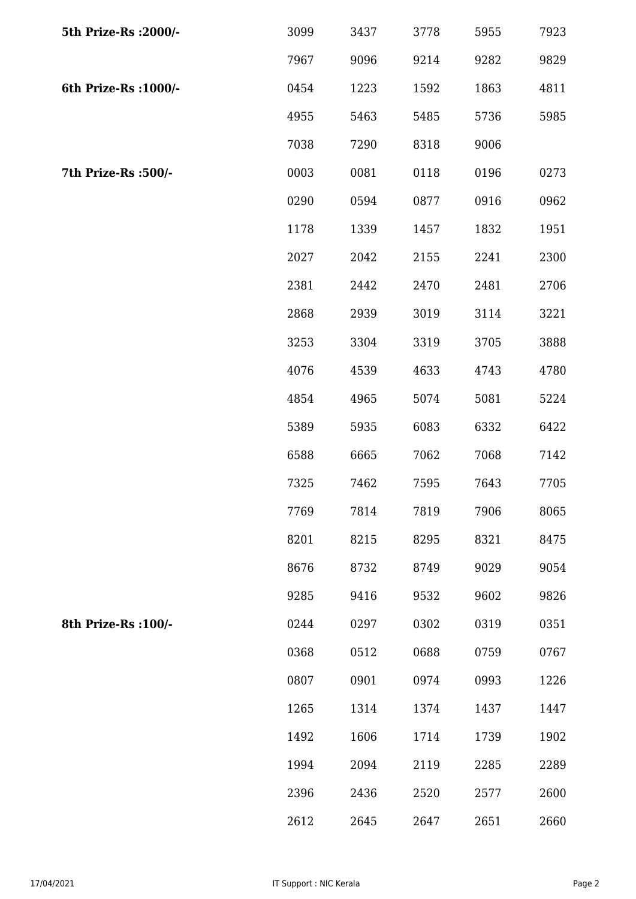| 5th Prize-Rs : 2000/- | 3099 | 3437 | 3778 | 5955 | 7923 |
|-----------------------|------|------|------|------|------|
|                       | 7967 | 9096 | 9214 | 9282 | 9829 |
| 6th Prize-Rs : 1000/- | 0454 | 1223 | 1592 | 1863 | 4811 |
|                       | 4955 | 5463 | 5485 | 5736 | 5985 |
|                       | 7038 | 7290 | 8318 | 9006 |      |
| 7th Prize-Rs :500/-   | 0003 | 0081 | 0118 | 0196 | 0273 |
|                       | 0290 | 0594 | 0877 | 0916 | 0962 |
|                       | 1178 | 1339 | 1457 | 1832 | 1951 |
|                       | 2027 | 2042 | 2155 | 2241 | 2300 |
|                       | 2381 | 2442 | 2470 | 2481 | 2706 |
|                       | 2868 | 2939 | 3019 | 3114 | 3221 |
|                       | 3253 | 3304 | 3319 | 3705 | 3888 |
|                       | 4076 | 4539 | 4633 | 4743 | 4780 |
|                       | 4854 | 4965 | 5074 | 5081 | 5224 |
|                       | 5389 | 5935 | 6083 | 6332 | 6422 |
|                       | 6588 | 6665 | 7062 | 7068 | 7142 |
|                       | 7325 | 7462 | 7595 | 7643 | 7705 |
|                       | 7769 | 7814 | 7819 | 7906 | 8065 |
|                       | 8201 | 8215 | 8295 | 8321 | 8475 |
|                       | 8676 | 8732 | 8749 | 9029 | 9054 |
|                       | 9285 | 9416 | 9532 | 9602 | 9826 |
| 8th Prize-Rs : 100/-  | 0244 | 0297 | 0302 | 0319 | 0351 |
|                       | 0368 | 0512 | 0688 | 0759 | 0767 |
|                       | 0807 | 0901 | 0974 | 0993 | 1226 |
|                       | 1265 | 1314 | 1374 | 1437 | 1447 |
|                       | 1492 | 1606 | 1714 | 1739 | 1902 |
|                       | 1994 | 2094 | 2119 | 2285 | 2289 |
|                       | 2396 | 2436 | 2520 | 2577 | 2600 |
|                       | 2612 | 2645 | 2647 | 2651 | 2660 |